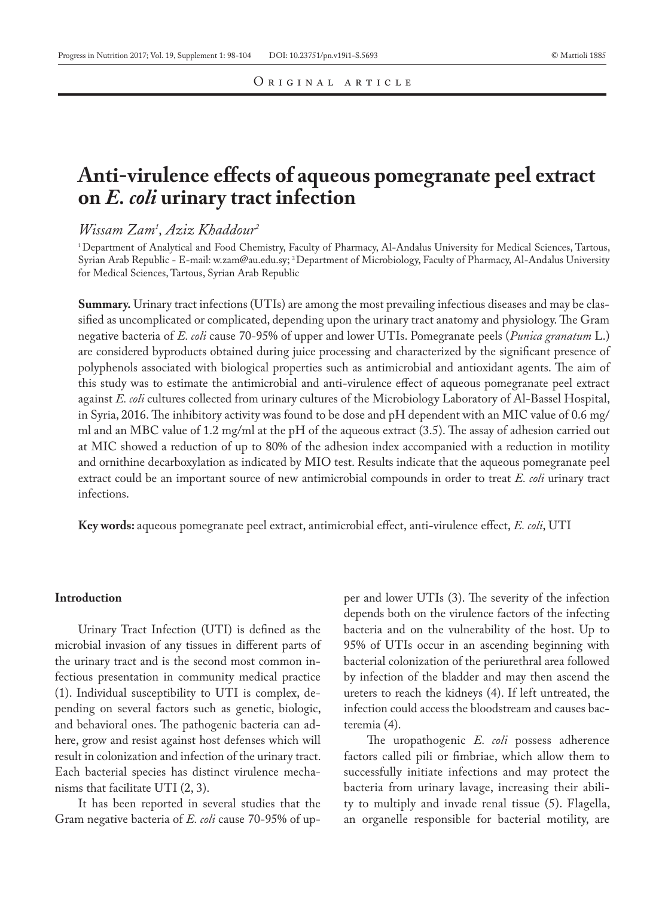# **Anti-virulence effects of aqueous pomegranate peel extract on** *E. coli* **urinary tract infection**

# *Wissam Zam1 , Aziz Khaddour2*

1 Department of Analytical and Food Chemistry, Faculty of Pharmacy, Al-Andalus University for Medical Sciences, Tartous, Syrian Arab Republic - E-mail: w.zam@au.edu.sy; 2 Department of Microbiology, Faculty of Pharmacy, Al-Andalus University for Medical Sciences, Tartous, Syrian Arab Republic

**Summary.** Urinary tract infections (UTIs) are among the most prevailing infectious diseases and may be classified as uncomplicated or complicated, depending upon the urinary tract anatomy and physiology. The Gram negative bacteria of *E. coli* cause 70-95% of upper and lower UTIs. Pomegranate peels (*Punica granatum* L.) are considered byproducts obtained during juice processing and characterized by the significant presence of polyphenols associated with biological properties such as antimicrobial and antioxidant agents. The aim of this study was to estimate the antimicrobial and anti-virulence effect of aqueous pomegranate peel extract against *E. coli* cultures collected from urinary cultures of the Microbiology Laboratory of Al-Bassel Hospital, in Syria, 2016. The inhibitory activity was found to be dose and pH dependent with an MIC value of 0.6 mg/ ml and an MBC value of 1.2 mg/ml at the pH of the aqueous extract (3.5). The assay of adhesion carried out at MIC showed a reduction of up to 80% of the adhesion index accompanied with a reduction in motility and ornithine decarboxylation as indicated by MIO test. Results indicate that the aqueous pomegranate peel extract could be an important source of new antimicrobial compounds in order to treat *E. coli* urinary tract infections.

**Key words:** aqueous pomegranate peel extract, antimicrobial effect, anti-virulence effect, *E. coli*, UTI

#### **Introduction**

Urinary Tract Infection (UTI) is defined as the microbial invasion of any tissues in different parts of the urinary tract and is the second most common infectious presentation in community medical practice (1). Individual susceptibility to UTI is complex, depending on several factors such as genetic, biologic, and behavioral ones. The pathogenic bacteria can adhere, grow and resist against host defenses which will result in colonization and infection of the urinary tract. Each bacterial species has distinct virulence mechanisms that facilitate UTI (2, 3).

It has been reported in several studies that the Gram negative bacteria of *E. coli* cause 70-95% of upper and lower UTIs (3). The severity of the infection depends both on the virulence factors of the infecting bacteria and on the vulnerability of the host. Up to 95% of UTIs occur in an ascending beginning with bacterial colonization of the periurethral area followed by infection of the bladder and may then ascend the ureters to reach the kidneys (4). If left untreated, the infection could access the bloodstream and causes bacteremia (4).

The uropathogenic *E. coli* possess adherence factors called pili or fimbriae, which allow them to successfully initiate infections and may protect the bacteria from urinary lavage, increasing their ability to multiply and invade renal tissue (5). Flagella, an organelle responsible for bacterial motility, are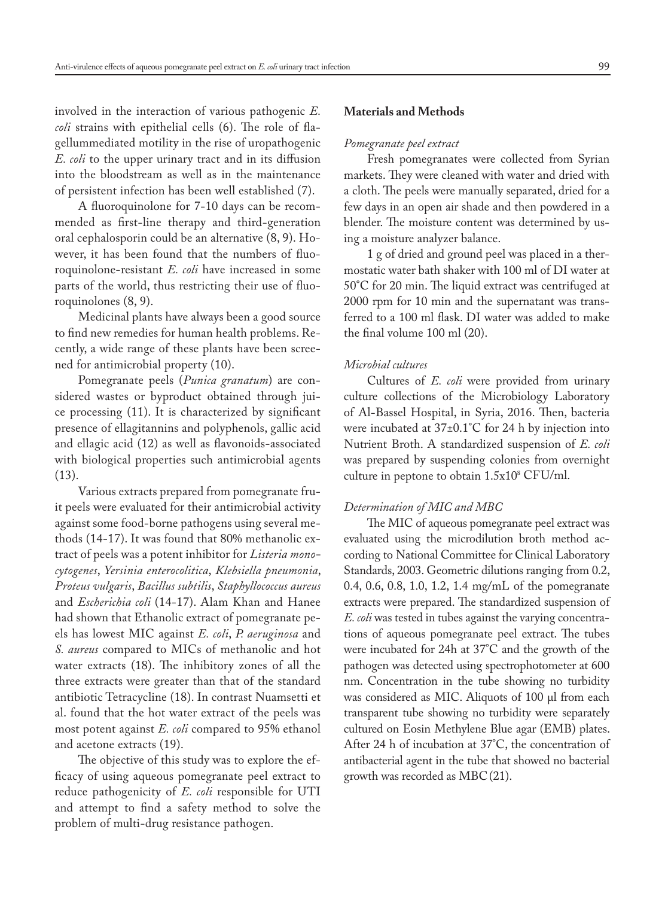involved in the interaction of various pathogenic *E. coli* strains with epithelial cells (6). The role of flagellummediated motility in the rise of uropathogenic *E. coli* to the upper urinary tract and in its diffusion into the bloodstream as well as in the maintenance of persistent infection has been well established (7).

A fluoroquinolone for 7-10 days can be recommended as first-line therapy and third-generation oral cephalosporin could be an alternative (8, 9). However, it has been found that the numbers of fluoroquinolone-resistant *E. coli* have increased in some parts of the world, thus restricting their use of fluoroquinolones (8, 9).

Medicinal plants have always been a good source to find new remedies for human health problems. Recently, a wide range of these plants have been screened for antimicrobial property (10).

Pomegranate peels (*Punica granatum*) are considered wastes or byproduct obtained through juice processing (11). It is characterized by significant presence of ellagitannins and polyphenols, gallic acid and ellagic acid (12) as well as flavonoids-associated with biological properties such antimicrobial agents (13).

Various extracts prepared from pomegranate fruit peels were evaluated for their antimicrobial activity against some food-borne pathogens using several methods (14-17). It was found that 80% methanolic extract of peels was a potent inhibitor for *Listeria monocytogenes*, *Yersinia enterocolitica*, *Klebsiella pneumonia*, *Proteus vulgaris*, *Bacillus subtilis*, *Staphyllococcus aureus* and *Escherichia coli* (14-17). Alam Khan and Hanee had shown that Ethanolic extract of pomegranate peels has lowest MIC against *E. coli*, *P. aeruginosa* and *S. aureus* compared to MICs of methanolic and hot water extracts (18). The inhibitory zones of all the three extracts were greater than that of the standard antibiotic Tetracycline (18). In contrast Nuamsetti et al. found that the hot water extract of the peels was most potent against *E. coli* compared to 95% ethanol and acetone extracts (19).

The objective of this study was to explore the efficacy of using aqueous pomegranate peel extract to reduce pathogenicity of *E. coli* responsible for UTI and attempt to find a safety method to solve the problem of multi-drug resistance pathogen.

# **Materials and Methods**

#### *Pomegranate peel extract*

Fresh pomegranates were collected from Syrian markets. They were cleaned with water and dried with a cloth. The peels were manually separated, dried for a few days in an open air shade and then powdered in a blender. The moisture content was determined by using a moisture analyzer balance.

1 g of dried and ground peel was placed in a thermostatic water bath shaker with 100 ml of DI water at 50°C for 20 min. The liquid extract was centrifuged at 2000 rpm for 10 min and the supernatant was transferred to a 100 ml flask. DI water was added to make the final volume 100 ml (20).

## *Microbial cultures*

Cultures of *E. coli* were provided from urinary culture collections of the Microbiology Laboratory of Al-Bassel Hospital, in Syria, 2016. Then, bacteria were incubated at 37±0.1°C for 24 h by injection into Nutrient Broth. A standardized suspension of *E. coli* was prepared by suspending colonies from overnight culture in peptone to obtain 1.5x108 CFU/ml.

### *Determination of MIC and MBC*

The MIC of aqueous pomegranate peel extract was evaluated using the microdilution broth method according to National Committee for Clinical Laboratory Standards, 2003. Geometric dilutions ranging from 0.2, 0.4, 0.6, 0.8, 1.0, 1.2, 1.4 mg/mL of the pomegranate extracts were prepared. The standardized suspension of *E. coli* was tested in tubes against the varying concentrations of aqueous pomegranate peel extract. The tubes were incubated for 24h at 37°C and the growth of the pathogen was detected using spectrophotometer at 600 nm. Concentration in the tube showing no turbidity was considered as MIC. Aliquots of 100 µl from each transparent tube showing no turbidity were separately cultured on Eosin Methylene Blue agar (EMB) plates. After 24 h of incubation at 37°C, the concentration of antibacterial agent in the tube that showed no bacterial growth was recorded as MBC(21).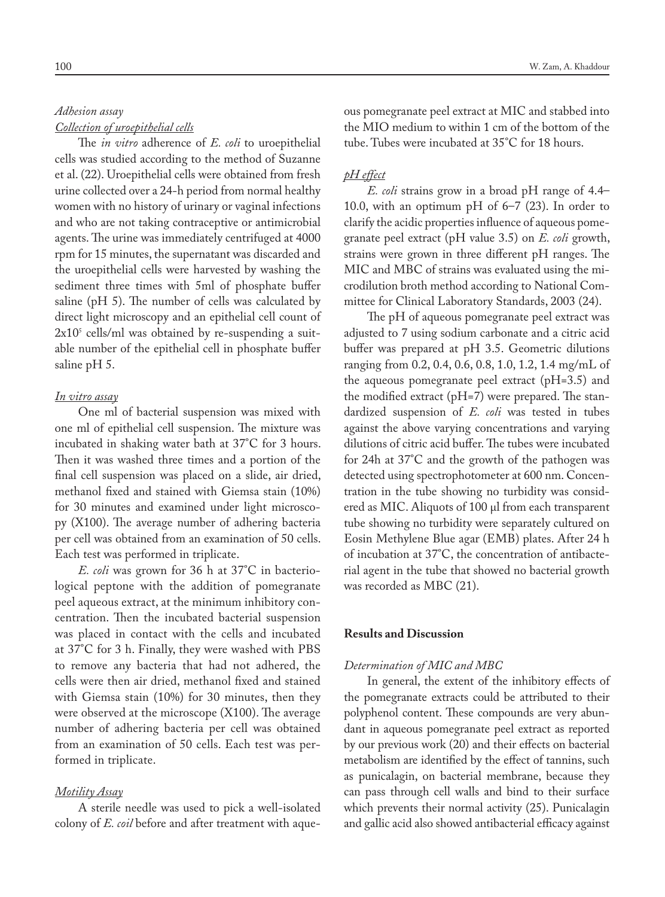# *Adhesion assay Collection of uroepithelial cells*

The *in vitro* adherence of *E. coli* to uroepithelial cells was studied according to the method of Suzanne et al. (22). Uroepithelial cells were obtained from fresh urine collected over a 24-h period from normal healthy women with no history of urinary or vaginal infections and who are not taking contraceptive or antimicrobial agents. The urine was immediately centrifuged at 4000 rpm for 15 minutes, the supernatant was discarded and the uroepithelial cells were harvested by washing the sediment three times with 5ml of phosphate buffer saline (pH 5). The number of cells was calculated by direct light microscopy and an epithelial cell count of 2x105 cells/ml was obtained by re-suspending a suitable number of the epithelial cell in phosphate buffer saline pH 5.

# *In vitro assay*

One ml of bacterial suspension was mixed with one ml of epithelial cell suspension. The mixture was incubated in shaking water bath at 37°C for 3 hours. Then it was washed three times and a portion of the final cell suspension was placed on a slide, air dried, methanol fixed and stained with Giemsa stain (10%) for 30 minutes and examined under light microscopy (X100). The average number of adhering bacteria per cell was obtained from an examination of 50 cells. Each test was performed in triplicate.

*E. coli* was grown for 36 h at 37°C in bacteriological peptone with the addition of pomegranate peel aqueous extract, at the minimum inhibitory concentration. Then the incubated bacterial suspension was placed in contact with the cells and incubated at 37°C for 3 h. Finally, they were washed with PBS to remove any bacteria that had not adhered, the cells were then air dried, methanol fixed and stained with Giemsa stain (10%) for 30 minutes, then they were observed at the microscope (X100). The average number of adhering bacteria per cell was obtained from an examination of 50 cells. Each test was performed in triplicate.

# *Motility Assay*

A sterile needle was used to pick a well-isolated colony of *E. coil* before and after treatment with aqueous pomegranate peel extract at MIC and stabbed into the MIO medium to within 1 cm of the bottom of the tube. Tubes were incubated at 35°C for 18 hours.

# *pH effect*

*E. coli* strains grow in a broad pH range of 4.4– 10.0, with an optimum pH of 6–7 (23). In order to clarify the acidic properties influence of aqueous pomegranate peel extract (pH value 3.5) on *E. coli* growth, strains were grown in three different pH ranges. The MIC and MBC of strains was evaluated using the microdilution broth method according to National Committee for Clinical Laboratory Standards, 2003 (24).

The pH of aqueous pomegranate peel extract was adjusted to 7 using sodium carbonate and a citric acid buffer was prepared at pH 3.5. Geometric dilutions ranging from 0.2, 0.4, 0.6, 0.8, 1.0, 1.2, 1.4 mg/mL of the aqueous pomegranate peel extract (pH=3.5) and the modified extract (pH=7) were prepared. The standardized suspension of *E. coli* was tested in tubes against the above varying concentrations and varying dilutions of citric acid buffer. The tubes were incubated for 24h at 37°C and the growth of the pathogen was detected using spectrophotometer at 600 nm. Concentration in the tube showing no turbidity was considered as MIC. Aliquots of 100 µl from each transparent tube showing no turbidity were separately cultured on Eosin Methylene Blue agar (EMB) plates. After 24 h of incubation at 37°C, the concentration of antibacterial agent in the tube that showed no bacterial growth was recorded as MBC (21).

# **Results and Discussion**

# *Determination of MIC and MBC*

In general, the extent of the inhibitory effects of the pomegranate extracts could be attributed to their polyphenol content. These compounds are very abundant in aqueous pomegranate peel extract as reported by our previous work (20) and their effects on bacterial metabolism are identified by the effect of tannins, such as punicalagin, on bacterial membrane, because they can pass through cell walls and bind to their surface which prevents their normal activity (25). Punicalagin and gallic acid also showed antibacterial efficacy against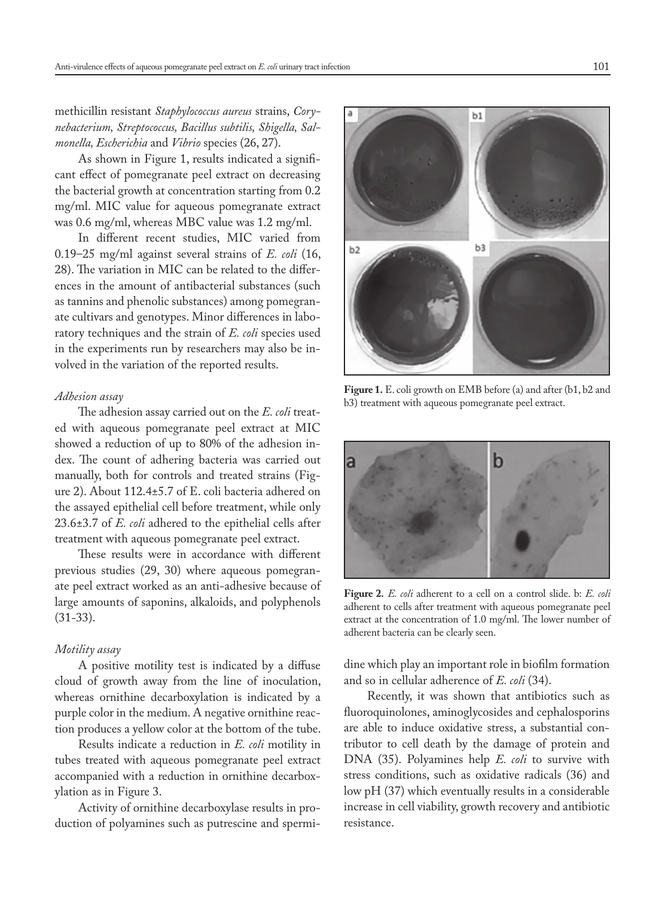methicillin resistant *Staphylococcus aureus* strains, *Corynebacterium, Streptococcus, Bacillus subtilis, Shigella, Salmonella, Escherichia* and *Vibrio* species (26, 27).

As shown in Figure 1, results indicated a significant effect of pomegranate peel extract on decreasing the bacterial growth at concentration starting from 0.2 mg/ml. MIC value for aqueous pomegranate extract was 0.6 mg/ml, whereas MBC value was 1.2 mg/ml.

In different recent studies, MIC varied from 0.19–25 mg/ml against several strains of *E. coli* (16, 28). The variation in MIC can be related to the differences in the amount of antibacterial substances (such as tannins and phenolic substances) among pomegranate cultivars and genotypes. Minor differences in laboratory techniques and the strain of *E. coli* species used in the experiments run by researchers may also be involved in the variation of the reported results.

#### *Adhesion assay*

The adhesion assay carried out on the *E. coli* treated with aqueous pomegranate peel extract at MIC showed a reduction of up to 80% of the adhesion index. The count of adhering bacteria was carried out manually, both for controls and treated strains (Figure 2). About 112.4±5.7 of E. coli bacteria adhered on the assayed epithelial cell before treatment, while only 23.6±3.7 of *E. coli* adhered to the epithelial cells after treatment with aqueous pomegranate peel extract.

These results were in accordance with different previous studies (29, 30) where aqueous pomegranate peel extract worked as an anti-adhesive because of large amounts of saponins, alkaloids, and polyphenols (31-33).

### *Motility assay*

A positive motility test is indicated by a diffuse cloud of growth away from the line of inoculation, whereas ornithine decarboxylation is indicated by a purple color in the medium. A negative ornithine reaction produces a yellow color at the bottom of the tube.

Results indicate a reduction in *E. coli* motility in tubes treated with aqueous pomegranate peel extract accompanied with a reduction in ornithine decarboxylation as in Figure 3.

Activity of ornithine decarboxylase results in production of polyamines such as putrescine and spermi-



**Figure 1.** E. coli growth on EMB before (a) and after (b1, b2 and b3) treatment with aqueous pomegranate peel extract.



**Figure 2.** *E. coli* adherent to a cell on a control slide. b: *E. coli* adherent to cells after treatment with aqueous pomegranate peel extract at the concentration of 1.0 mg/ml. The lower number of adherent bacteria can be clearly seen.

dine which play an important role in biofilm formation and so in cellular adherence of *E. coli* (34).

Recently, it was shown that antibiotics such as fluoroquinolones, aminoglycosides and cephalosporins are able to induce oxidative stress, a substantial contributor to cell death by the damage of protein and DNA (35). Polyamines help *E. coli* to survive with stress conditions, such as oxidative radicals (36) and low pH (37) which eventually results in a considerable increase in cell viability, growth recovery and antibiotic resistance.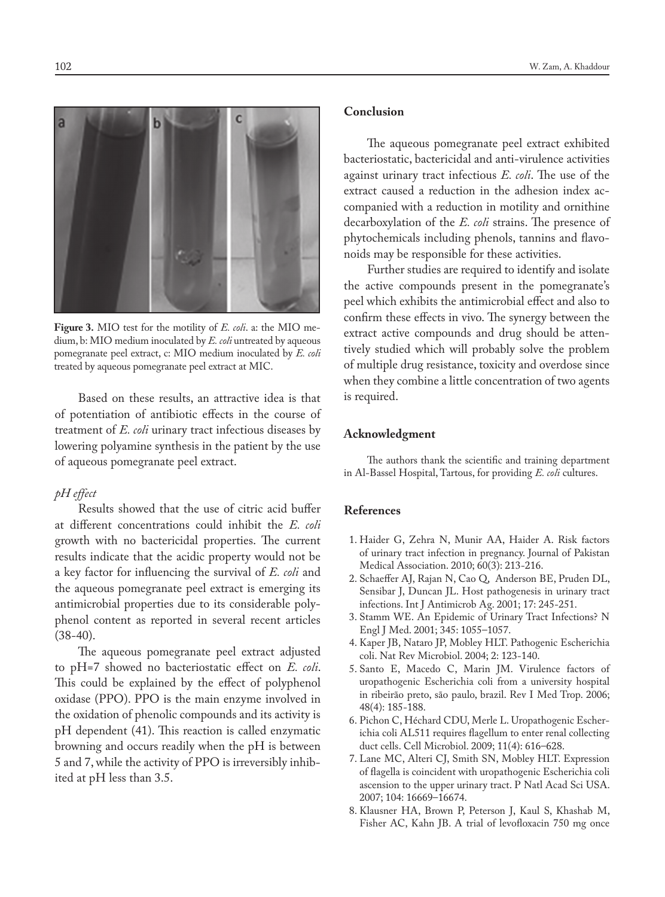

**Figure 3.** MIO test for the motility of *E. coli*. a: the MIO medium, b: MIO medium inoculated by *E. coli* untreated by aqueous pomegranate peel extract, c: MIO medium inoculated by *E. coli*  treated by aqueous pomegranate peel extract at MIC.

Based on these results, an attractive idea is that of potentiation of antibiotic effects in the course of treatment of *E. coli* urinary tract infectious diseases by lowering polyamine synthesis in the patient by the use of aqueous pomegranate peel extract.

# *pH effect*

Results showed that the use of citric acid buffer at different concentrations could inhibit the *E. coli* growth with no bactericidal properties. The current results indicate that the acidic property would not be a key factor for influencing the survival of *E. coli* and the aqueous pomegranate peel extract is emerging its antimicrobial properties due to its considerable polyphenol content as reported in several recent articles  $(38-40).$ 

The aqueous pomegranate peel extract adjusted to pH=7 showed no bacteriostatic effect on *E. coli*. This could be explained by the effect of polyphenol oxidase (PPO). PPO is the main enzyme involved in the oxidation of phenolic compounds and its activity is pH dependent (41). This reaction is called enzymatic browning and occurs readily when the pH is between 5 and 7, while the activity of PPO is irreversibly inhibited at pH less than 3.5.

# **Conclusion**

The aqueous pomegranate peel extract exhibited bacteriostatic, bactericidal and anti-virulence activities against urinary tract infectious *E. coli*. The use of the extract caused a reduction in the adhesion index accompanied with a reduction in motility and ornithine decarboxylation of the *E. coli* strains. The presence of phytochemicals including phenols, tannins and flavonoids may be responsible for these activities.

Further studies are required to identify and isolate the active compounds present in the pomegranate's peel which exhibits the antimicrobial effect and also to confirm these effects in vivo. The synergy between the extract active compounds and drug should be attentively studied which will probably solve the problem of multiple drug resistance, toxicity and overdose since when they combine a little concentration of two agents is required.

## **Acknowledgment**

The authors thank the scientific and training department in Al-Bassel Hospital, Tartous, for providing *E. coli* cultures.

# **References**

- 1. Haider G, Zehra N, Munir AA, Haider A. Risk factors of urinary tract infection in pregnancy. Journal of Pakistan Medical Association. 2010; 60(3): 213-216.
- 2. Schaeffer AJ, Rajan N, Cao Q, Anderson BE, Pruden DL, Sensibar J, Duncan JL. Host pathogenesis in urinary tract infections. Int J Antimicrob Ag. 2001; 17: 245-251.
- 3. Stamm WE. An Epidemic of Urinary Tract Infections? N Engl J Med. 2001; 345: 1055–1057.
- 4. Kaper JB, Nataro JP, Mobley HLT. Pathogenic Escherichia coli. Nat Rev Microbiol. 2004; 2: 123-140.
- 5. Santo E, Macedo C, Marin JM. Virulence factors of uropathogenic Escherichia coli from a university hospital in ribeirão preto, são paulo, brazil. Rev I Med Trop. 2006; 48(4): 185-188.
- 6. Pichon C, Héchard CDU, Merle L. Uropathogenic Escherichia coli AL511 requires flagellum to enter renal collecting duct cells. Cell Microbiol. 2009; 11(4): 616–628.
- 7. Lane MC, Alteri CJ, Smith SN, Mobley HLT. Expression of flagella is coincident with uropathogenic Escherichia coli ascension to the upper urinary tract. P Natl Acad Sci USA. 2007; 104: 16669–16674.
- 8. Klausner HA, Brown P, Peterson J, Kaul S, Khashab M, Fisher AC, Kahn JB. A trial of levofloxacin 750 mg once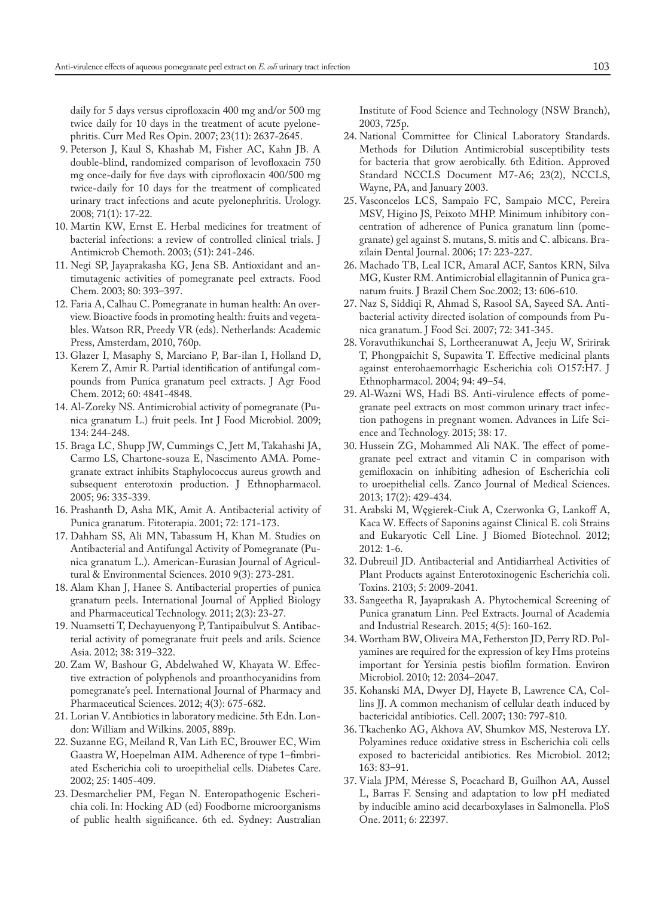daily for 5 days versus ciprofloxacin 400 mg and/or 500 mg twice daily for 10 days in the treatment of acute pyelonephritis. Curr Med Res Opin. 2007; 23(11): 2637-2645.

- 9. Peterson J, Kaul S, Khashab M, Fisher AC, Kahn JB. A double-blind, randomized comparison of levofloxacin 750 mg once-daily for five days with ciprofloxacin 400/500 mg twice-daily for 10 days for the treatment of complicated urinary tract infections and acute pyelonephritis. Urology. 2008; 71(1): 17-22.
- 10. Martin KW, Ernst E. Herbal medicines for treatment of bacterial infections: a review of controlled clinical trials. J Antimicrob Chemoth. 2003; (51): 241-246.
- 11. Negi SP, Jayaprakasha KG, Jena SB. Antioxidant and antimutagenic activities of pomegranate peel extracts. Food Chem. 2003; 80: 393–397.
- 12. Faria A, Calhau C. Pomegranate in human health: An overview. Bioactive foods in promoting health: fruits and vegetables. Watson RR, Preedy VR (eds). Netherlands: Academic Press, Amsterdam, 2010, 760p.
- 13. Glazer I, Masaphy S, Marciano P, Bar-ilan I, Holland D, Kerem Z, Amir R. Partial identification of antifungal compounds from Punica granatum peel extracts. J Agr Food Chem. 2012; 60: 4841-4848.
- 14. Al-Zoreky NS. Antimicrobial activity of pomegranate (Punica granatum L.) fruit peels. Int J Food Microbiol. 2009; 134: 244-248.
- 15. Braga LC, Shupp JW, Cummings C, Jett M, Takahashi JA, Carmo LS, Chartone-souza E, Nascimento AMA. Pomegranate extract inhibits Staphylococcus aureus growth and subsequent enterotoxin production. J Ethnopharmacol. 2005; 96: 335-339.
- 16. Prashanth D, Asha MK, Amit A. Antibacterial activity of Punica granatum. Fitoterapia. 2001; 72: 171-173.
- 17. Dahham SS, Ali MN, Tabassum H, Khan M. Studies on Antibacterial and Antifungal Activity of Pomegranate (Punica granatum L.). American-Eurasian Journal of Agricultural & Environmental Sciences. 2010 9(3): 273-281.
- 18. Alam Khan J, Hanee S. Antibacterial properties of punica granatum peels. International Journal of Applied Biology and Pharmaceutical Technology. 2011; 2(3): 23-27.
- 19. Nuamsetti T, Dechayuenyong P, Tantipaibulvut S. Antibacterial activity of pomegranate fruit peels and arils. Science Asia. 2012; 38: 319–322.
- 20. Zam W, Bashour G, Abdelwahed W, Khayata W. Effective extraction of polyphenols and proanthocyanidins from pomegranate's peel. International Journal of Pharmacy and Pharmaceutical Sciences. 2012; 4(3): 675-682.
- 21. Lorian V. Antibiotics in laboratory medicine. 5th Edn. London: William and Wilkins. 2005, 889p.
- 22. Suzanne EG, Meiland R, Van Lith EC, Brouwer EC, Wim Gaastra W, Hoepelman AIM. Adherence of type 1–fimbriated Escherichia coli to uroepithelial cells. Diabetes Care. 2002; 25: 1405-409.
- 23. Desmarchelier PM, Fegan N. Enteropathogenic Escherichia coli. In: Hocking AD (ed) Foodborne microorganisms of public health significance. 6th ed. Sydney: Australian

Institute of Food Science and Technology (NSW Branch), 2003, 725p.

- 24. National Committee for Clinical Laboratory Standards. Methods for Dilution Antimicrobial susceptibility tests for bacteria that grow aerobically. 6th Edition. Approved Standard NCCLS Document M7-A6; 23(2), NCCLS, Wayne, PA, and January 2003.
- 25. Vasconcelos LCS, Sampaio FC, Sampaio MCC, Pereira MSV, Higino JS, Peixoto MHP. Minimum inhibitory concentration of adherence of Punica granatum linn (pomegranate) gel against S. mutans, S. mitis and C. albicans. Brazilain Dental Journal. 2006; 17: 223-227.
- 26. Machado TB, Leal ICR, Amaral ACF, Santos KRN, Silva MG, Kuster RM. Antimicrobial ellagitannin of Punica granatum fruits. J Brazil Chem Soc.2002; 13: 606-610.
- 27. Naz S, Siddiqi R, Ahmad S, Rasool SA, Sayeed SA. Antibacterial activity directed isolation of compounds from Punica granatum. J Food Sci. 2007; 72: 341-345.
- 28. Voravuthikunchai S, Lortheeranuwat A, Jeeju W, Sririrak T, Phongpaichit S, Supawita T. Effective medicinal plants against enterohaemorrhagic Escherichia coli O157:H7. J Ethnopharmacol. 2004; 94: 49–54.
- 29. Al-Wazni WS, Hadi BS. Anti-virulence effects of pomegranate peel extracts on most common urinary tract infection pathogens in pregnant women. Advances in Life Science and Technology. 2015; 38: 17.
- 30. Hussein ZG, Mohammed Ali NAK. The effect of pomegranate peel extract and vitamin C in comparison with gemifloxacin on inhibiting adhesion of Escherichia coli to uroepithelial cells. Zanco Journal of Medical Sciences. 2013; 17(2): 429-434.
- 31. Arabski M, Węgierek-Ciuk A, Czerwonka G, Lankoff A, Kaca W. Effects of Saponins against Clinical E. coli Strains and Eukaryotic Cell Line. J Biomed Biotechnol. 2012; 2012: 1-6.
- 32. Dubreuil JD. Antibacterial and Antidiarrheal Activities of Plant Products against Enterotoxinogenic Escherichia coli. Toxins. 2103; 5: 2009-2041.
- 33. Sangeetha R, Jayaprakash A. Phytochemical Screening of Punica granatum Linn. Peel Extracts. Journal of Academia and Industrial Research. 2015; 4(5): 160-162.
- 34. Wortham BW, Oliveira MA, Fetherston JD, Perry RD. Polyamines are required for the expression of key Hms proteins important for Yersinia pestis biofilm formation. Environ Microbiol. 2010; 12: 2034–2047.
- 35. Kohanski MA, Dwyer DJ, Hayete B, Lawrence CA, Collins JJ. A common mechanism of cellular death induced by bactericidal antibiotics. Cell. 2007; 130: 797-810.
- 36. Tkachenko AG, Akhova AV, Shumkov MS, Nesterova LY. Polyamines reduce oxidative stress in Escherichia coli cells exposed to bactericidal antibiotics. Res Microbiol. 2012; 163: 83–91.
- 37. Viala JPM, Méresse S, Pocachard B, Guilhon AA, Aussel L, Barras F. Sensing and adaptation to low pH mediated by inducible amino acid decarboxylases in Salmonella. PloS One. 2011; 6: 22397.